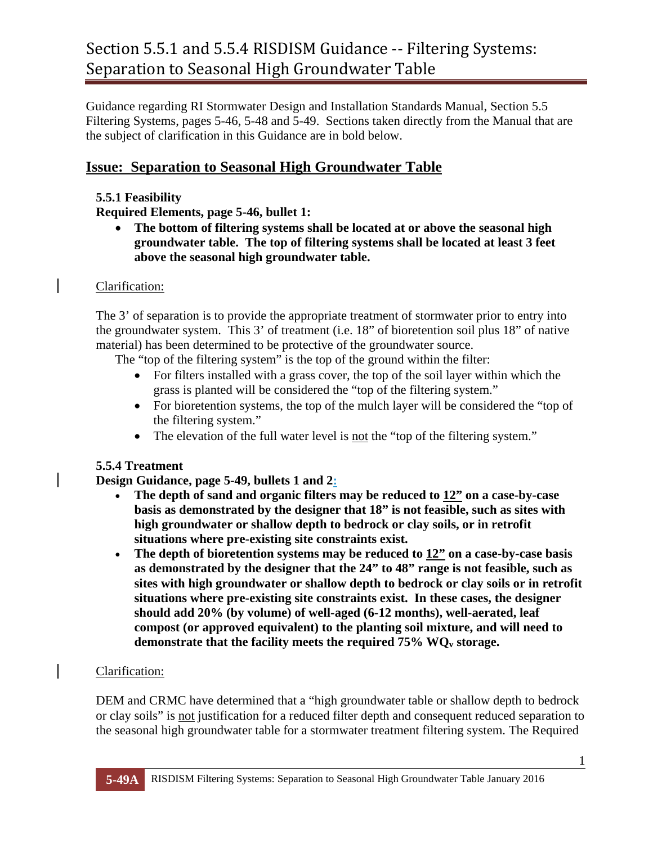Guidance regarding RI Stormwater Design and Installation Standards Manual, Section 5.5 Filtering Systems, pages 5-46, 5-48 and 5-49. Sections taken directly from the Manual that are the subject of clarification in this Guidance are in bold below.

# **Issue: Separation to Seasonal High Groundwater Table**

#### **5.5.1 Feasibility**

#### **Required Elements, page 5-46, bullet 1:**

 **The bottom of filtering systems shall be located at or above the seasonal high groundwater table. The top of filtering systems shall be located at least 3 feet above the seasonal high groundwater table.** 

#### Clarification:

The 3' of separation is to provide the appropriate treatment of stormwater prior to entry into the groundwater system. This 3' of treatment (i.e. 18" of bioretention soil plus 18" of native material) has been determined to be protective of the groundwater source.

The "top of the filtering system" is the top of the ground within the filter:

- For filters installed with a grass cover, the top of the soil layer within which the grass is planted will be considered the "top of the filtering system."
- For bioretention systems, the top of the mulch layer will be considered the "top of the filtering system."
- The elevation of the full water level is not the "top of the filtering system."

# **5.5.4 Treatment**

# **Design Guidance, page 5-49, bullets 1 and 2:**

- The depth of sand and organic filters may be reduced to  $12"$  on a case-by-case **basis as demonstrated by the designer that 18" is not feasible, such as sites with high groundwater or shallow depth to bedrock or clay soils, or in retrofit situations where pre-existing site constraints exist.**
- **The depth of bioretention systems may be reduced to 12" on a case-by-case basis as demonstrated by the designer that the 24" to 48" range is not feasible, such as sites with high groundwater or shallow depth to bedrock or clay soils or in retrofit situations where pre-existing site constraints exist. In these cases, the designer should add 20% (by volume) of well-aged (6-12 months), well-aerated, leaf compost (or approved equivalent) to the planting soil mixture, and will need to**  demonstrate that the facility meets the required 75% WQ<sub>y</sub> storage.

# Clarification:

DEM and CRMC have determined that a "high groundwater table or shallow depth to bedrock or clay soils" is not justification for a reduced filter depth and consequent reduced separation to the seasonal high groundwater table for a stormwater treatment filtering system. The Required